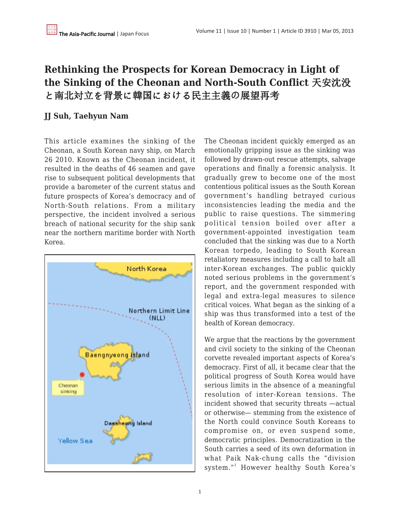# **Rethinking the Prospects for Korean Democracy in Light of the Sinking of the Cheonan and North-South Conflict** 天安沈没 と南北対立を背景に韓国における民主主義の展望再考

## **JJ Suh, Taehyun Nam**

This article examines the sinking of the Cheonan, a South Korean navy ship, on March 26 2010. Known as the Cheonan incident, it resulted in the deaths of 46 seamen and gave rise to subsequent political developments that provide a barometer of the current status and future prospects of Korea's democracy and of North-South relations. From a military perspective, the incident involved a serious breach of national security for the ship sank near the northern maritime border with North Korea.



The Cheonan incident quickly emerged as an emotionally gripping issue as the sinking was followed by drawn-out rescue attempts, salvage operations and finally a forensic analysis. It gradually grew to become one of the most contentious political issues as the South Korean government's handling betrayed curious inconsistencies leading the media and the public to raise questions. The simmering political tension boiled over after a government-appointed investigation team concluded that the sinking was due to a North Korean torpedo, leading to South Korean retaliatory measures including a call to halt all inter-Korean exchanges. The public quickly noted serious problems in the government's report, and the government responded with legal and extra-legal measures to silence critical voices. What began as the sinking of a ship was thus transformed into a test of the health of Korean democracy.

We argue that the reactions by the government and civil society to the sinking of the Cheonan corvette revealed important aspects of Korea's democracy. First of all, it became clear that the political progress of South Korea would have serious limits in the absence of a meaningful resolution of inter-Korean tensions. The incident showed that security threats —actual or otherwise— stemming from the existence of the North could convince South Koreans to compromise on, or even suspend some, democratic principles. Democratization in the South carries a seed of its own deformation in what Paik Nak-chung calls the "division system."<sup>1</sup> However healthy South Korea's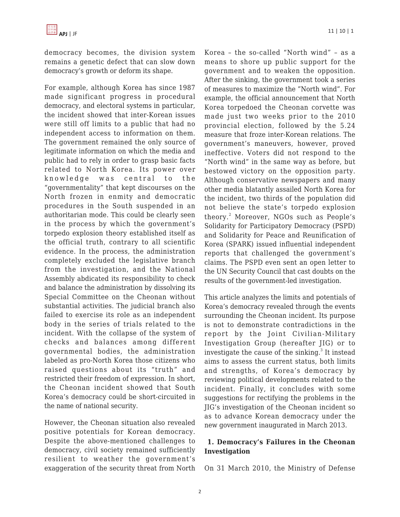democracy becomes, the division system remains a genetic defect that can slow down democracy's growth or deform its shape.

For example, although Korea has since 1987 made significant progress in procedural democracy, and electoral systems in particular, the incident showed that inter-Korean issues were still off limits to a public that had no independent access to information on them. The government remained the only source of legitimate information on which the media and public had to rely in order to grasp basic facts related to North Korea. Its power over knowledge was central to the "governmentality" that kept discourses on the North frozen in enmity and democratic procedures in the South suspended in an authoritarian mode. This could be clearly seen in the process by which the government's torpedo explosion theory established itself as the official truth, contrary to all scientific evidence. In the process, the administration completely excluded the legislative branch from the investigation, and the National Assembly abdicated its responsibility to check and balance the administration by dissolving its Special Committee on the Cheonan without substantial activities. The judicial branch also failed to exercise its role as an independent body in the series of trials related to the incident. With the collapse of the system of checks and balances among different governmental bodies, the administration labeled as pro-North Korea those citizens who raised questions about its "truth" and restricted their freedom of expression. In short, the Cheonan incident showed that South Korea's democracy could be short-circuited in the name of national security.

However, the Cheonan situation also revealed positive potentials for Korean democracy. Despite the above-mentioned challenges to democracy, civil society remained sufficiently resilient to weather the government's exaggeration of the security threat from North Korea – the so-called "North wind" – as a means to shore up public support for the government and to weaken the opposition. After the sinking, the government took a series of measures to maximize the "North wind". For example, the official announcement that North Korea torpedoed the Cheonan corvette was made just two weeks prior to the 2010 provincial election, followed by the 5.24 measure that froze inter-Korean relations. The government's maneuvers, however, proved ineffective. Voters did not respond to the "North wind" in the same way as before, but bestowed victory on the opposition party. Although conservative newspapers and many other media blatantly assailed North Korea for the incident, two thirds of the population did not believe the state's torpedo explosion theory.<sup>2</sup> Moreover, NGOs such as People's Solidarity for Participatory Democracy (PSPD) and Solidarity for Peace and Reunification of Korea (SPARK) issued influential independent reports that challenged the government's claims. The PSPD even sent an open letter to the UN Security Council that cast doubts on the results of the government-led investigation.

This article analyzes the limits and potentials of Korea's democracy revealed through the events surrounding the Cheonan incident. Its purpose is not to demonstrate contradictions in the report by the Joint Civilian-Military Investigation Group (hereafter JIG) or to investigate the cause of the sinking. $^3$  It instead aims to assess the current status, both limits and strengths, of Korea's democracy by reviewing political developments related to the incident. Finally, it concludes with some suggestions for rectifying the problems in the JIG's investigation of the Cheonan incident so as to advance Korean democracy under the new government inaugurated in March 2013.

## **1. Democracy's Failures in the Cheonan Investigation**

On 31 March 2010, the Ministry of Defense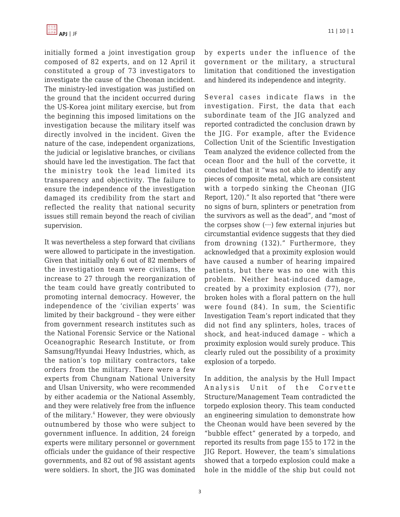

initially formed a joint investigation group composed of 82 experts, and on 12 April it constituted a group of 73 investigators to investigate the cause of the Cheonan incident. The ministry-led investigation was justified on the ground that the incident occurred during the US-Korea joint military exercise, but from the beginning this imposed limitations on the investigation because the military itself was directly involved in the incident. Given the nature of the case, independent organizations, the judicial or legislative branches, or civilians should have led the investigation. The fact that the ministry took the lead limited its transparency and objectivity. The failure to ensure the independence of the investigation damaged its credibility from the start and reflected the reality that national security issues still remain beyond the reach of civilian supervision.

It was nevertheless a step forward that civilians were allowed to participate in the investigation. Given that initially only 6 out of 82 members of the investigation team were civilians, the increase to 27 through the reorganization of the team could have greatly contributed to promoting internal democracy. However, the independence of the 'civilian experts' was limited by their background – they were either from government research institutes such as the National Forensic Service or the National Oceanographic Research Institute, or from Samsung/Hyundai Heavy Industries, which, as the nation's top military contractors, take orders from the military. There were a few experts from Chungnam National University and Ulsan University, who were recommended by either academia or the National Assembly, and they were relatively free from the influence of the military.<sup>4</sup> However, they were obviously outnumbered by those who were subject to government influence. In addition, 24 foreign experts were military personnel or government officials under the guidance of their respective governments, and 82 out of 98 assistant agents were soldiers. In short, the JIG was dominated by experts under the influence of the government or the military, a structural limitation that conditioned the investigation and hindered its independence and integrity.

Several cases indicate flaws in the investigation. First, the data that each subordinate team of the JIG analyzed and reported contradicted the conclusion drawn by the JIG. For example, after the Evidence Collection Unit of the Scientific Investigation Team analyzed the evidence collected from the ocean floor and the hull of the corvette, it concluded that it "was not able to identify any pieces of composite metal, which are consistent with a torpedo sinking the Cheonan (JIG Report, 120)." It also reported that "there were no signs of burn, splinters or penetration from the survivors as well as the dead", and "most of the corpses show  $(\cdots)$  few external injuries but circumstantial evidence suggests that they died from drowning (132)." Furthermore, they acknowledged that a proximity explosion would have caused a number of hearing impaired patients, but there was no one with this problem. Neither heat-induced damage, created by a proximity explosion (77), nor broken holes with a floral pattern on the hull were found (84). In sum, the Scientific Investigation Team's report indicated that they did not find any splinters, holes, traces of shock, and heat-induced damage – which a proximity explosion would surely produce. This clearly ruled out the possibility of a proximity explosion of a torpedo.

In addition, the analysis by the Hull Impact Analysis Unit of the Corvette Structure/Management Team contradicted the torpedo explosion theory. This team conducted an engineering simulation to demonstrate how the Cheonan would have been severed by the "bubble effect" generated by a torpedo, and reported its results from page 155 to 172 in the JIG Report. However, the team's simulations showed that a torpedo explosion could make a hole in the middle of the ship but could not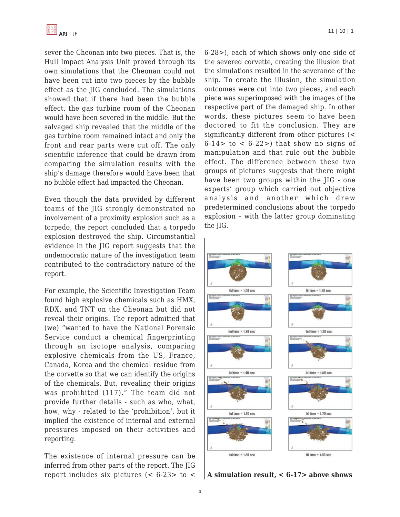

sever the Cheonan into two pieces. That is, the Hull Impact Analysis Unit proved through its own simulations that the Cheonan could not have been cut into two pieces by the bubble effect as the JIG concluded. The simulations showed that if there had been the bubble effect, the gas turbine room of the Cheonan would have been severed in the middle. But the salvaged ship revealed that the middle of the gas turbine room remained intact and only the front and rear parts were cut off. The only scientific inference that could be drawn from comparing the simulation results with the ship's damage therefore would have been that no bubble effect had impacted the Cheonan.

Even though the data provided by different teams of the JIG strongly demonstrated no involvement of a proximity explosion such as a torpedo, the report concluded that a torpedo explosion destroyed the ship. Circumstantial evidence in the JIG report suggests that the undemocratic nature of the investigation team contributed to the contradictory nature of the report.

For example, the Scientific Investigation Team found high explosive chemicals such as HMX, RDX, and TNT on the Cheonan but did not reveal their origins. The report admitted that (we) "wanted to have the National Forensic Service conduct a chemical fingerprinting through an isotope analysis, comparing explosive chemicals from the US, France, Canada, Korea and the chemical residue from the corvette so that we can identify the origins of the chemicals. But, revealing their origins was prohibited (117)." The team did not provide further details - such as who, what, how, why - related to the 'prohibition', but it implied the existence of internal and external pressures imposed on their activities and reporting.

The existence of internal pressure can be inferred from other parts of the report. The JIG report includes six pictures  $(< 6-23>$  to  $<$  6-28>), each of which shows only one side of the severed corvette, creating the illusion that the simulations resulted in the severance of the ship. To create the illusion, the simulation outcomes were cut into two pieces, and each piece was superimposed with the images of the respective part of the damaged ship. In other words, these pictures seem to have been doctored to fit the conclusion. They are significantly different from other pictures (<  $6-14$  to <  $6-22$ ) that show no signs of manipulation and that rule out the bubble effect. The difference between these two groups of pictures suggests that there might have been two groups within the JIG - one experts' group which carried out objective analysis and another which drew predetermined conclusions about the torpedo explosion – with the latter group dominating the JIG.



**A simulation result, < 6-17> above shows**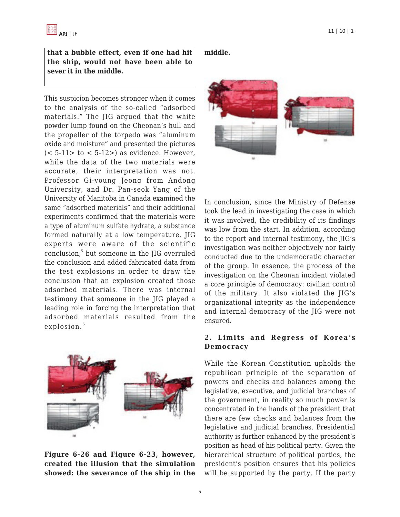**that a bubble effect, even if one had hit the ship, would not have been able to sever it in the middle.**

This suspicion becomes stronger when it comes to the analysis of the so-called "adsorbed materials." The JIG argued that the white powder lump found on the Cheonan's hull and the propeller of the torpedo was "aluminum oxide and moisture" and presented the pictures  $(< 5-11>$  to  $< 5-12>$ ) as evidence. However, while the data of the two materials were accurate, their interpretation was not. Professor Gi-young Jeong from Andong University, and Dr. Pan-seok Yang of the University of Manitoba in Canada examined the same "adsorbed materials" and their additional experiments confirmed that the materials were a type of aluminum sulfate hydrate, a substance formed naturally at a low temperature. JIG experts were aware of the scientific conclusion,<sup>5</sup> but someone in the JIG overruled the conclusion and added fabricated data from the test explosions in order to draw the conclusion that an explosion created those adsorbed materials. There was internal testimony that someone in the JIG played a leading role in forcing the interpretation that adsorbed materials resulted from the explosion.<sup>6</sup>



**Figure 6-26 and Figure 6-23, however, created the illusion that the simulation showed: the severance of the ship in the** **middle.**



In conclusion, since the Ministry of Defense took the lead in investigating the case in which it was involved, the credibility of its findings was low from the start. In addition, according to the report and internal testimony, the JIG's investigation was neither objectively nor fairly conducted due to the undemocratic character of the group. In essence, the process of the investigation on the Cheonan incident violated a core principle of democracy: civilian control of the military. It also violated the JIG's organizational integrity as the independence and internal democracy of the JIG were not ensured.

#### **2. Limits and Regress of Korea's Democracy**

While the Korean Constitution upholds the republican principle of the separation of powers and checks and balances among the legislative, executive, and judicial branches of the government, in reality so much power is concentrated in the hands of the president that there are few checks and balances from the legislative and judicial branches. Presidential authority is further enhanced by the president's position as head of his political party. Given the hierarchical structure of political parties, the president's position ensures that his policies will be supported by the party. If the party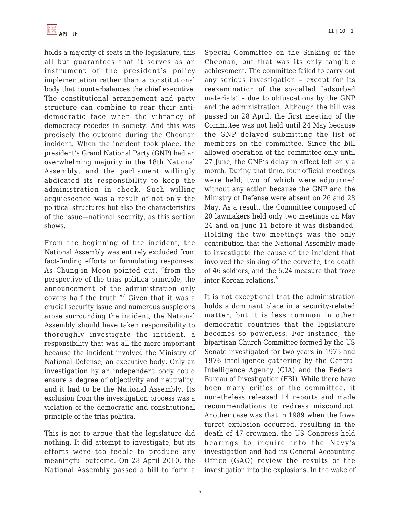

holds a majority of seats in the legislature, this all but guarantees that it serves as an instrument of the president's policy implementation rather than a constitutional body that counterbalances the chief executive. The constitutional arrangement and party structure can combine to rear their antidemocratic face when the vibrancy of democracy recedes in society. And this was precisely the outcome during the Cheonan incident. When the incident took place, the president's Grand National Party (GNP) had an overwhelming majority in the 18th National Assembly, and the parliament willingly abdicated its responsibility to keep the administration in check. Such willing acquiescence was a result of not only the political structures but also the characteristics of the issue—national security, as this section shows.

From the beginning of the incident, the National Assembly was entirely excluded from fact-finding efforts or formulating responses. As Chung-in Moon pointed out, "from the perspective of the trias politica principle, the announcement of the administration only covers half the truth."<sup>7</sup> Given that it was a crucial security issue and numerous suspicions arose surrounding the incident, the National Assembly should have taken responsibility to thoroughly investigate the incident, a responsibility that was all the more important because the incident involved the Ministry of National Defense, an executive body. Only an investigation by an independent body could ensure a degree of objectivity and neutrality, and it had to be the National Assembly. Its exclusion from the investigation process was a violation of the democratic and constitutional principle of the trias politica.

This is not to argue that the legislature did nothing. It did attempt to investigate, but its efforts were too feeble to produce any meaningful outcome. On 28 April 2010, the National Assembly passed a bill to form a

Special Committee on the Sinking of the Cheonan, but that was its only tangible achievement. The committee failed to carry out any serious investigation – except for its reexamination of the so-called "adsorbed materials" – due to obfuscations by the GNP and the administration. Although the bill was passed on 28 April, the first meeting of the Committee was not held until 24 May because the GNP delayed submitting the list of members on the committee. Since the bill allowed operation of the committee only until 27 June, the GNP's delay in effect left only a month. During that time, four official meetings were held, two of which were adjourned without any action because the GNP and the Ministry of Defense were absent on 26 and 28 May. As a result, the Committee composed of 20 lawmakers held only two meetings on May 24 and on June 11 before it was disbanded. Holding the two meetings was the only contribution that the National Assembly made to investigate the cause of the incident that involved the sinking of the corvette, the death of 46 soldiers, and the 5.24 measure that froze inter-Korean relations.<sup>8</sup>

It is not exceptional that the administration holds a dominant place in a security-related matter, but it is less common in other democratic countries that the legislature becomes so powerless. For instance, the bipartisan Church Committee formed by the US Senate investigated for two years in 1975 and 1976 intelligence gathering by the Central Intelligence Agency (CIA) and the Federal Bureau of Investigation (FBI). While there have been many critics of the committee, it nonetheless released 14 reports and made recommendations to redress misconduct. Another case was that in 1989 when the Iowa turret explosion occurred, resulting in the death of 47 crewmen, the US Congress held hearings to inquire into the Navy's investigation and had its General Accounting Office (GAO) review the results of the investigation into the explosions. In the wake of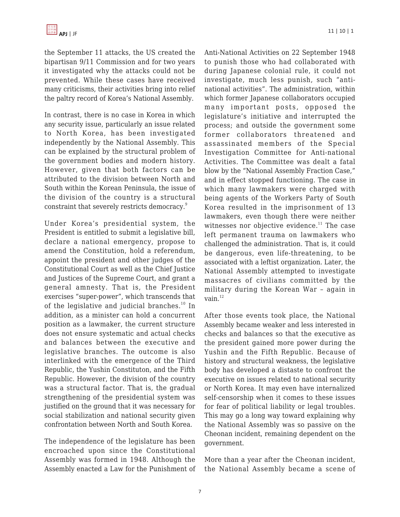the September 11 attacks, the US created the bipartisan 9/11 Commission and for two years it investigated why the attacks could not be prevented. While these cases have received many criticisms, their activities bring into relief the paltry record of Korea's National Assembly.

In contrast, there is no case in Korea in which any security issue, particularly an issue related to North Korea, has been investigated independently by the National Assembly. This can be explained by the structural problem of the government bodies and modern history. However, given that both factors can be attributed to the division between North and South within the Korean Peninsula, the issue of the division of the country is a structural constraint that severely restricts democracy.<sup>9</sup>

Under Korea's presidential system, the President is entitled to submit a legislative bill, declare a national emergency, propose to amend the Constitution, hold a referendum, appoint the president and other judges of the Constitutional Court as well as the Chief Justice and Justices of the Supreme Court, and grant a general amnesty. That is, the President exercises "super-power", which transcends that of the legislative and judicial branches.<sup>10</sup> In addition, as a minister can hold a concurrent position as a lawmaker, the current structure does not ensure systematic and actual checks and balances between the executive and legislative branches. The outcome is also interlinked with the emergence of the Third Republic, the Yushin Constituton, and the Fifth Republic. However, the division of the country was a structural factor. That is, the gradual strengthening of the presidential system was justified on the ground that it was necessary for social stabilization and national security given confrontation between North and South Korea.

The independence of the legislature has been encroached upon since the Constitutional Assembly was formed in 1948. Although the Assembly enacted a Law for the Punishment of Anti-National Activities on 22 September 1948 to punish those who had collaborated with during Japanese colonial rule, it could not investigate, much less punish, such "antinational activities". The administration, within which former Japanese collaborators occupied many important posts, opposed the legislature's initiative and interrupted the process; and outside the government some former collaborators threatened and assassinated members of the Special Investigation Committee for Anti-national Activities. The Committee was dealt a fatal blow by the "National Assembly Fraction Case," and in effect stopped functioning. The case in which many lawmakers were charged with being agents of the Workers Party of South Korea resulted in the imprisonment of 13 lawmakers, even though there were neither witnesses nor objective evidence.<sup>11</sup> The case left permanent trauma on lawmakers who challenged the administration. That is, it could be dangerous, even life-threatening, to be associated with a leftist organization. Later, the National Assembly attempted to investigate massacres of civilians committed by the military during the Korean War – again in vain.<sup>12</sup>

After those events took place, the National Assembly became weaker and less interested in checks and balances so that the executive as the president gained more power during the Yushin and the Fifth Republic. Because of history and structural weakness, the legislative body has developed a distaste to confront the executive on issues related to national security or North Korea. It may even have internalized self-censorship when it comes to these issues for fear of political liability or legal troubles. This may go a long way toward explaining why the National Assembly was so passive on the Cheonan incident, remaining dependent on the government.

More than a year after the Cheonan incident, the National Assembly became a scene of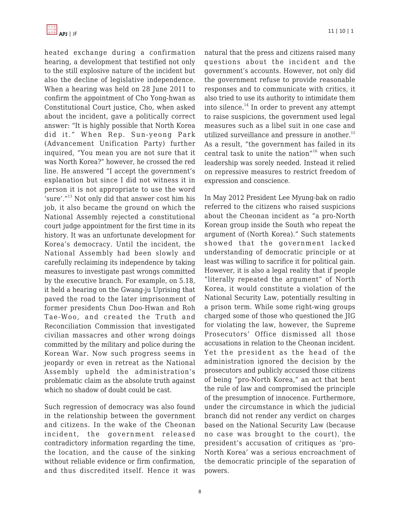heated exchange during a confirmation hearing, a development that testified not only to the still explosive nature of the incident but also the decline of legislative independence. When a hearing was held on 28 June 2011 to confirm the appointment of Cho Yong-hwan as Constitutional Court justice, Cho, when asked about the incident, gave a politically correct answer: "It is highly possible that North Korea did it." When Rep. Sun-yeong Park (Advancement Unification Party) further inquired, "You mean you are not sure that it was North Korea?" however, he crossed the red line. He answered "I accept the government's explanation but since I did not witness it in person it is not appropriate to use the word 'sure'."<sup>13</sup> Not only did that answer cost him his job, it also became the ground on which the National Assembly rejected a constitutional court judge appointment for the first time in its history. It was an unfortunate development for Korea's democracy. Until the incident, the National Assembly had been slowly and carefully reclaiming its independence by taking measures to investigate past wrongs committed by the executive branch. For example, on 5.18, it held a hearing on the Gwang-ju Uprising that paved the road to the later imprisonment of former presidents Chun Doo-Hwan and Roh Tae-Woo, and created the Truth and Reconciliation Commission that investigated civilian massacres and other wrong doings committed by the military and police during the Korean War. Now such progress seems in jeopardy or even in retreat as the National Assembly upheld the administration's problematic claim as the absolute truth against which no shadow of doubt could be cast.

Such regression of democracy was also found in the relationship between the government and citizens. In the wake of the Cheonan incident, the government released contradictory information regarding the time, the location, and the cause of the sinking without reliable evidence or firm confirmation, and thus discredited itself. Hence it was natural that the press and citizens raised many questions about the incident and the government's accounts. However, not only did the government refuse to provide reasonable responses and to communicate with critics, it also tried to use its authority to intimidate them into silence. $^{14}$  In order to prevent any attempt to raise suspicions, the government used legal measures such as a libel suit in one case and utilized surveillance and pressure in another.<sup>15</sup> As a result, "the government has failed in its central task to unite the nation"<sup>16</sup> when such leadership was sorely needed. Instead it relied on repressive measures to restrict freedom of expression and conscience.

In May 2012 President Lee Myung-bak on radio referred to the citizens who raised suspicions about the Cheonan incident as "a pro-North Korean group inside the South who repeat the argument of (North Korea)." Such statements showed that the government lacked understanding of democratic principle or at least was willing to sacrifice it for political gain. However, it is also a legal reality that if people "literally repeated the argument" of North Korea, it would constitute a violation of the National Security Law, potentially resulting in a prison term. While some right-wing groups charged some of those who questioned the JIG for violating the law, however, the Supreme Prosecutors' Office dismissed all those accusations in relation to the Cheonan incident. Yet the president as the head of the administration ignored the decision by the prosecutors and publicly accused those citizens of being "pro-North Korea," an act that bent the rule of law and compromised the principle of the presumption of innocence. Furthermore, under the circumstance in which the judicial branch did not render any verdict on charges based on the National Security Law (because no case was brought to the court), the president's accusation of critiques as 'pro-North Korea' was a serious encroachment of the democratic principle of the separation of powers.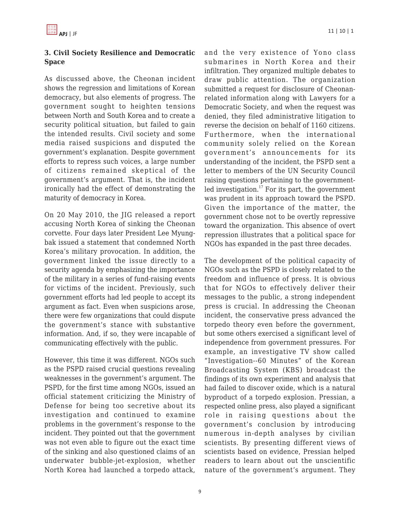### **3. Civil Society Resilience and Democratic Space**

As discussed above, the Cheonan incident shows the regression and limitations of Korean democracy, but also elements of progress. The government sought to heighten tensions between North and South Korea and to create a security political situation, but failed to gain the intended results. Civil society and some media raised suspicions and disputed the government's explanation. Despite government efforts to repress such voices, a large number of citizens remained skeptical of the government's argument. That is, the incident ironically had the effect of demonstrating the maturity of democracy in Korea.

On 20 May 2010, the JIG released a report accusing North Korea of sinking the Cheonan corvette. Four days later President Lee Myungbak issued a statement that condemned North Korea's military provocation. In addition, the government linked the issue directly to a security agenda by emphasizing the importance of the military in a series of fund-raising events for victims of the incident. Previously, such government efforts had led people to accept its argument as fact. Even when suspicions arose, there were few organizations that could dispute the government's stance with substantive information. And, if so, they were incapable of communicating effectively with the public.

However, this time it was different. NGOs such as the PSPD raised crucial questions revealing weaknesses in the government's argument. The PSPD, for the first time among NGOs, issued an official statement criticizing the Ministry of Defense for being too secretive about its investigation and continued to examine problems in the government's response to the incident. They pointed out that the government was not even able to figure out the exact time of the sinking and also questioned claims of an underwater bubble-jet-explosion, whether North Korea had launched a torpedo attack,

and the very existence of Yono class submarines in North Korea and their infiltration. They organized multiple debates to draw public attention. The organization submitted a request for disclosure of Cheonanrelated information along with Lawyers for a Democratic Society, and when the request was denied, they filed administrative litigation to reverse the decision on behalf of 1160 citizens. Furthermore, when the international community solely relied on the Korean government's announcements for its understanding of the incident, the PSPD sent a letter to members of the UN Security Council raising questions pertaining to the governmentled investigation.<sup>17</sup> For its part, the government was prudent in its approach toward the PSPD. Given the importance of the matter, the government chose not to be overtly repressive toward the organization. This absence of overt repression illustrates that a political space for NGOs has expanded in the past three decades.

The development of the political capacity of NGOs such as the PSPD is closely related to the freedom and influence of press. It is obvious that for NGOs to effectively deliver their messages to the public, a strong independent press is crucial. In addressing the Cheonan incident, the conservative press advanced the torpedo theory even before the government, but some others exercised a significant level of independence from government pressures. For example, an investigative TV show called "Investigation--60 Minutes" of the Korean Broadcasting System (KBS) broadcast the findings of its own experiment and analysis that had failed to discover oxide, which is a natural byproduct of a torpedo explosion. Pressian, a respected online press, also played a significant role in raising questions about the government's conclusion by introducing numerous in-depth analyses by civilian scientists. By presenting different views of scientists based on evidence, Pressian helped readers to learn about out the unscientific nature of the government's argument. They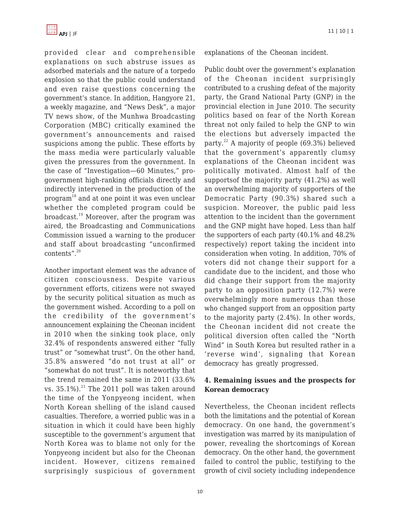provided clear and comprehensible explanations on such abstruse issues as adsorbed materials and the nature of a torpedo explosion so that the public could understand and even raise questions concerning the government's stance. In addition, Hangyore 21, a weekly magazine, and "News Desk", a major TV news show, of the Munhwa Broadcasting Corporation (MBC) critically examined the government's announcements and raised suspicions among the public. These efforts by the mass media were particularly valuable given the pressures from the government. In the case of "Investigation—60 Minutes," progovernment high-ranking officials directly and indirectly intervened in the production of the program<sup>18</sup> and at one point it was even unclear whether the completed program could be broadcast.<sup>19</sup> Moreover, after the program was aired, the Broadcasting and Communications Commission issued a warning to the producer and staff about broadcasting "unconfirmed contents".<sup>20</sup>

Another important element was the advance of citizen consciousness. Despite various government efforts, citizens were not swayed by the security political situation as much as the government wished. According to a poll on the credibility of the government's announcement explaining the Cheonan incident in 2010 when the sinking took place, only 32.4% of respondents answered either "fully trust" or "somewhat trust". On the other hand, 35.8% answered "do not trust at all" or "somewhat do not trust". It is noteworthy that the trend remained the same in 2011 (33.6% vs.  $35.1\%$ ).<sup>21</sup> The 2011 poll was taken around the time of the Yonpyeong incident, when North Korean shelling of the island caused casualties. Therefore, a worried public was in a situation in which it could have been highly susceptible to the government's argument that North Korea was to blame not only for the Yonpyeong incident but also for the Cheonan incident. However, citizens remained surprisingly suspicious of government explanations of the Cheonan incident.

Public doubt over the government's explanation of the Cheonan incident surprisingly contributed to a crushing defeat of the majority party, the Grand National Party (GNP) in the provincial election in June 2010. The security politics based on fear of the North Korean threat not only failed to help the GNP to win the elections but adversely impacted the party. $22$  A majority of people (69.3%) believed that the government's apparently clumsy explanations of the Cheonan incident was politically motivated. Almost half of the supportsof the majority party (41.2%) as well an overwhelming majority of supporters of the Democratic Party (90.3%) shared such a suspicion. Moreover, the public paid less attention to the incident than the government and the GNP might have hoped. Less than half the supporters of each party (40.1% and 48.2% respectively) report taking the incident into consideration when voting. In addition, 70% of voters did not change their support for a candidate due to the incident, and those who did change their support from the majority party to an opposition party (12.7%) were overwhelmingly more numerous than those who changed support from an opposition party to the majority party (2.4%). In other words, the Cheonan incident did not create the political diversion often called the "North Wind" in South Korea but resulted rather in a 'reverse wind', signaling that Korean democracy has greatly progressed.

## **4. Remaining issues and the prospects for Korean democracy**

Nevertheless, the Cheonan incident reflects both the limitations and the potential of Korean democracy. On one hand, the government's investigation was marred by its manipulation of power, revealing the shortcomings of Korean democracy. On the other hand, the government failed to control the public, testifying to the growth of civil society including independence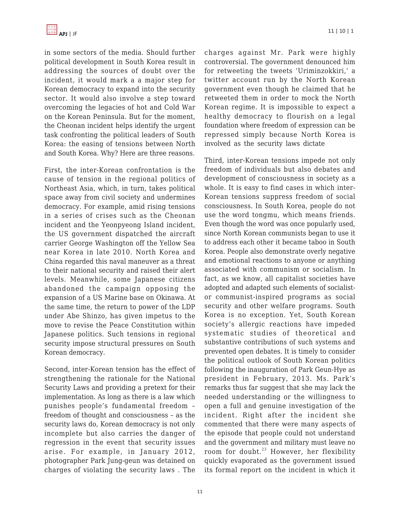in some sectors of the media. Should further political development in South Korea result in addressing the sources of doubt over the incident, it would mark a a major step for Korean democracy to expand into the security sector. It would also involve a step toward overcoming the legacies of hot and Cold War on the Korean Peninsula. But for the moment, the Cheonan incident helps identify the urgent task confronting the political leaders of South Korea: the easing of tensions between North and South Korea. Why? Here are three reasons.

First, the inter-Korean confrontation is the cause of tension in the regional politics of Northeast Asia, which, in turn, takes political space away from civil society and undermines democracy. For example, amid rising tensions in a series of crises such as the Cheonan incident and the Yeonpyeong Island incident, the US government dispatched the aircraft carrier George Washington off the Yellow Sea near Korea in late 2010. North Korea and China regarded this naval maneuver as a threat to their national security and raised their alert levels. Meanwhile, some Japanese citizens abandoned the campaign opposing the expansion of a US Marine base on Okinawa. At the same time, the return to power of the LDP under Abe Shinzo, has given impetus to the move to revise the Peace Constitution within Japanese politics. Such tensions in regional security impose structural pressures on South Korean democracy.

Second, inter-Korean tension has the effect of strengthening the rationale for the National Security Laws and providing a pretext for their implementation. As long as there is a law which punishes people's fundamental freedom – freedom of thought and consciousness – as the security laws do, Korean democracy is not only incomplete but also carries the danger of regression in the event that security issues arise. For example, in January 2012, photographer Park Jung-geun was detained on charges of violating the security laws . The charges against Mr. Park were highly controversial. The government denounced him for retweeting the tweets 'Uriminzokkiri,' a twitter account run by the North Korean government even though he claimed that he retweeted them in order to mock the North Korean regime. It is impossible to expect a healthy democracy to flourish on a legal foundation where freedom of expression can be repressed simply because North Korea is involved as the security laws dictate

Third, inter-Korean tensions impede not only freedom of individuals but also debates and development of consciousness in society as a whole. It is easy to find cases in which inter-Korean tensions suppress freedom of social consciousness. In South Korea, people do not use the word tongmu, which means friends. Even though the word was once popularly used, since North Korean communists began to use it to address each other it became taboo in South Korea. People also demonstrate overly negative and emotional reactions to anyone or anything associated with communism or socialism. In fact, as we know, all capitalist societies have adopted and adapted such elements of socialistor communist-inspired programs as social security and other welfare programs. South Korea is no exception. Yet, South Korean society's allergic reactions have impeded systematic studies of theoretical and substantive contributions of such systems and prevented open debates. It is timely to consider the political outlook of South Korean politics following the inauguration of Park Geun-Hye as president in February, 2013. Ms. Park's remarks thus far suggest that she may lack the needed understanding or the willingness to open a full and genuine investigation of the incident. Right after the incident she commented that there were many aspects of the episode that people could not understand and the government and military must leave no room for doubt.<sup>23</sup> However, her flexibility quickly evaporated as the government issued its formal report on the incident in which it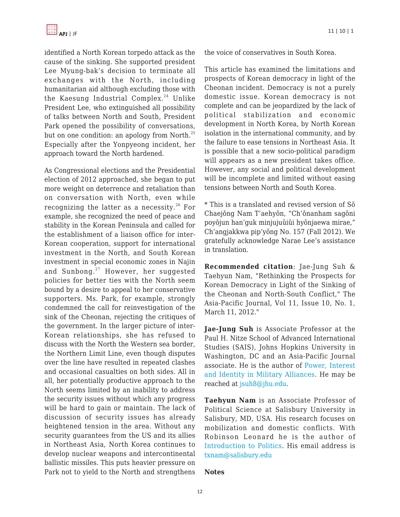

identified a North Korean torpedo attack as the cause of the sinking. She supported president Lee Myung-bak's decision to terminate all exchanges with the North, including humanitarian aid although excluding those with the Kaesung Industrial Complex.<sup>24</sup> Unlike President Lee, who extinguished all possibility of talks between North and South, President Park opened the possibility of conversations, but on one condition: an apology from North. $^{25}$ Especially after the Yonpyeong incident, her approach toward the North hardened.

As Congressional elections and the Presidential election of 2012 approached, she began to put more weight on deterrence and retaliation than on conversation with North, even while recognizing the latter as a necessity.<sup>26</sup> For example, she recognized the need of peace and stability in the Korean Peninsula and called for the establishment of a liaison office for inter-Korean cooperation, support for international investment in the North, and South Korean investment in special economic zones in Najin and Sunbong.<sup>27</sup> However, her suggested policies for better ties with the North seem bound by a desire to appeal to her conservative supporters. Ms. Park, for example, strongly condemned the call for reinvestigation of the sink of the Cheonan, rejecting the critiques of the government. In the larger picture of inter-Korean relationships, she has refused to discuss with the North the Western sea border, the Northern Limit Line, even though disputes over the line have resulted in repeated clashes and occasional casualties on both sides. All in all, her potentially productive approach to the North seems limited by an inability to address the security issues without which any progress will be hard to gain or maintain. The lack of discussion of security issues has already heightened tension in the area. Without any security guarantees from the US and its allies in Northeast Asia, North Korea continues to develop nuclear weapons and intercontinental ballistic missiles. This puts heavier pressure on Park not to yield to the North and strengthens the voice of conservatives in South Korea.

This article has examined the limitations and prospects of Korean democracy in light of the Cheonan incident. Democracy is not a purely domestic issue. Korean democracy is not complete and can be jeopardized by the lack of political stabilization and economic development in North Korea, by North Korean isolation in the international community, and by the failure to ease tensions in Northeast Asia. It is possible that a new socio-political paradigm will appears as a new president takes office. However, any social and political development will be incomplete and limited without easing tensions between North and South Korea.

\* This is a translated and revised version of Sǒ Chaejǒng Nam T'aehyǒn, "Ch'ǒnanham sagǒni poyǒjun han'guk minjujuǔiǔi hyǒnjaewa mirae," Ch'angjakkwa pip'yǒng No. 157 (Fall 2012). We gratefully acknowledge Narae Lee's assistance in translation.

**Recommended citation**: Jae-Jung Suh & Taehyun Nam, "Rethinking the Prospects for Korean Democracy in Light of the Sinking of the Cheonan and North-South Conflict," The Asia-Pacific Journal, Vol 11, Issue 10, No. 1, March 11, 2012."

**Jae-Jung Suh** is Associate Professor at the Paul H. Nitze School of Advanced International Studies (SAIS), Johns Hopkins University in Washington, DC and an Asia-Pacific Journal associate. He is the author of [Power, Interest](http://amzn.com/1403979286/?tag=theasipacjo0b-20) [and Identity in Military Alliances](http://amzn.com/1403979286/?tag=theasipacjo0b-20). He may be reached at [jsuh8@jhu.edu](https://apjjf.org/mailto:jsuh8@jhu.edu).

**Taehyun Nam** is an Associate Professor of Political Science at Salisbury University in Salisbury, MD, USA. His research focuses on mobilization and domestic conflicts. With Robinson Leonard he is the author of [Introduction to Politics.](http://amzn.com/0757597173/?tag=theasipacjo0b-20) His email address is [txnam@salisbury.edu](https://apjjf.org/mailto:txnam@salisbury.edu)

#### **Notes**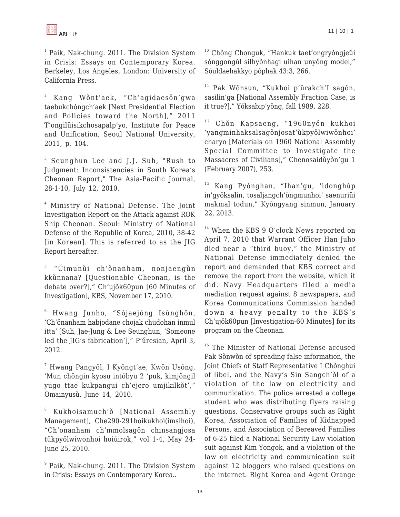<sup>1</sup> Paik, Nak-chung. 2011. The Division System in Crisis: Essays on Contemporary Korea. Berkeley, Los Angeles, London: University of California Press.

2 Kang Wǒnt'aek, "Ch'agidaesǒn'gwa taebukchǒngch'aek [Next Presidential Election and Policies toward the North]," 2011 T'ongilǔisikchosapalp'yo, Institute for Peace and Unification, Seoul National University, 2011, p. 104.

3 Seunghun Lee and J.J. Suh, "Rush to Judgment: Inconsistencies in South Korea's Cheonan Report," The Asia-Pacific Journal, 28-1-10, July 12, 2010.

4 Ministry of National Defense. The Joint Investigation Report on the Attack against ROK Ship Cheonan. Seoul: Ministry of National Defense of the Republic of Korea, 2010, 38-42 [in Korean]. This is referred to as the JIG Report hereafter.

<sup>5</sup> "Ŭimunǔi ch'ǒnanham, nonjaengǔn kkǔnnana? [Questionable Cheonan, is the debate over?]," Ch'ujǒk60pun [60 Minutes of Investigation], KBS, November 17, 2010.

 $^{\rm 6}$  Hwang Junho, "Sǒjaejǒng Isǔnghǒn, 'Ch'ǒnanham habjodane chojak chudohan inmul itta' [Suh, Jae-Jung & Lee Seunghun, 'Someone led the JIG's fabrication']," P'ǔresian, April 3, 2012.

 $^7$  Hwang Pangyǒl, I Kyǒngt'ae, Kwǒn Usǒng, 'Mun chǒngin kyosu intǒbyu 2 'puk, kimjǒngil yugo ttae kukpangui ch'ejero umjikilkǒt'," Omainyusǔ, June 14, 2010.

8 Kukhoisamuch'ǒ [National Assembly Management], Che290-291hoikukhoi(imsihoi), "Ch'onanham ch'mmolsagǒn chinsangjosa tůkpyŏlwiwonhoi hoiůirok," vol 1-4, May 24-June 25, 2010.

<sup>9</sup> Paik, Nak-chung. 2011. The Division System in Crisis: Essays on Contemporary Korea..

<sup>10</sup> Chǒng Chonguk, "Hankuk taet'ongryǒngjeǔi sǒnggongǔl silhyǒnhagi uihan unyǒng model," Sǒuldaehakkyo pǒphak 43:3, 266.

<sup>11</sup> Pak Wǒnsun, "Kukhoi p'ǔrakch'I sagǒn, sasilin'ga [National Assembly Fraction Case, is it true?]," Yǒksabip'yǒng, fall 1989, 228.

 $12$  Chǒn Kapsaeng, "1960nyǒn kukhoi 'yangminhaksalsagǒnjosat'ǔkpyǒlwiwǒnhoi' charyo [Materials on 1960 National Assembly Special Committee to Investigate the Massacres of Civilians]," Chenosaidǔyǒn'gu 1 (February 2007), 253.

<sup>13</sup> Kang Pyǒnghan, "Ihan'gu, 'idonghǔp in'gyǒksalin, tosaljangch'ǒngmunhoi' saenuriǔi makmal todun," Kyǒngyang sinmun, January 22, 2013.

<sup>14</sup> When the KBS 9 O'clock News reported on April 7, 2010 that Warrant Officer Han Juho died near a "third buoy," the Ministry of National Defense immediately denied the report and demanded that KBS correct and remove the report from the website, which it did. Navy Headquarters filed a media mediation request against 8 newspapers, and Korea Communications Commission handed down a heavy penalty to the KBS's Ch'ujǒk60pun [Investigation-60 Minutes] for its program on the Cheonan.

<sup>15</sup> The Minister of National Defense accused Pak Sǒnwǒn of spreading false information, the Joint Chiefs of Staff Representative I Chǒnghui of libel, and the Navy's Sin Sangch'ǒl of a violation of the law on electricity and communication. The police arrested a college student who was distributing flyers raising questions. Conservative groups such as Right Korea, Association of Families of Kidnapped Persons, and Association of Bereaved Families of 6-25 filed a National Security Law violation suit against Kim Yongok, and a violation of the law on electricity and communication suit against 12 bloggers who raised questions on the internet. Right Korea and Agent Orange